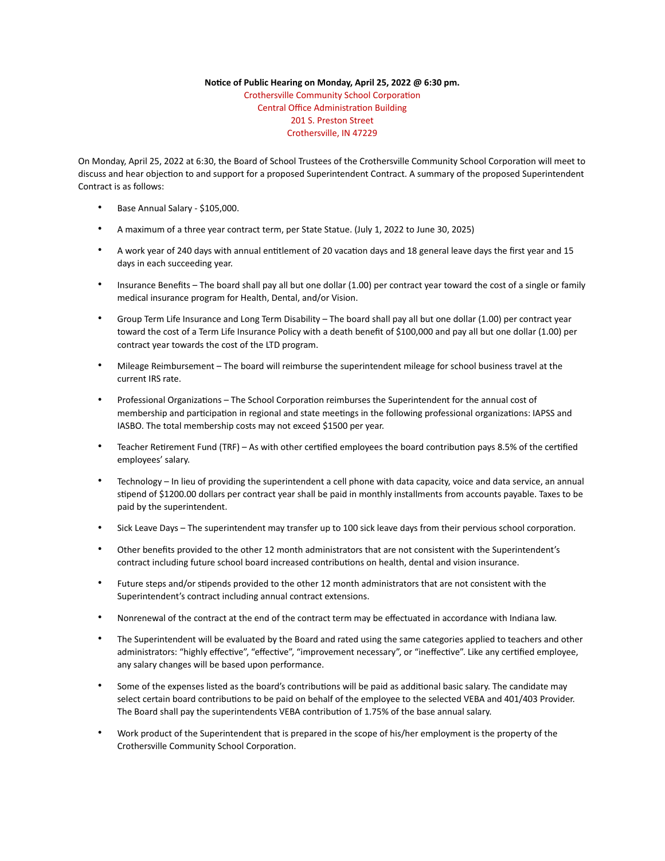## **Notice of Public Hearing on Monday, April 25, 2022 @ 6:30 pm.**

Crothersville Community School Corporation Central Office Administration Building 201 S. Preston Street Crothersville, IN 47229

On Monday, April 25, 2022 at 6:30, the Board of School Trustees of the Crothersville Community School Corporation will meet to discuss and hear objection to and support for a proposed Superintendent Contract. A summary of the proposed Superintendent Contract is as follows:

- Base Annual Salary \$105,000.
- A maximum of a three year contract term, per State Statue. (July 1, 2022 to June 30, 2025)
- A work year of 240 days with annual entitlement of 20 vacation days and 18 general leave days the first year and 15 days in each succeeding year.
- Insurance Benefits The board shall pay all but one dollar (1.00) per contract year toward the cost of a single or family medical insurance program for Health, Dental, and/or Vision.
- Group Term Life Insurance and Long Term Disability The board shall pay all but one dollar (1.00) per contract year toward the cost of a Term Life Insurance Policy with a death benefit of \$100,000 and pay all but one dollar (1.00) per contract year towards the cost of the LTD program.
- Mileage Reimbursement The board will reimburse the superintendent mileage for school business travel at the current IRS rate.
- Professional Organizations The School Corporation reimburses the Superintendent for the annual cost of membership and participation in regional and state meetings in the following professional organizations: IAPSS and IASBO. The total membership costs may not exceed \$1500 per year.
- Teacher Retirement Fund (TRF) As with other certified employees the board contribution pays 8.5% of the certified employees' salary.
- Technology In lieu of providing the superintendent a cell phone with data capacity, voice and data service, an annual stipend of \$1200.00 dollars per contract year shall be paid in monthly installments from accounts payable. Taxes to be paid by the superintendent.
- Sick Leave Days The superintendent may transfer up to 100 sick leave days from their pervious school corporation.
- Other benefits provided to the other 12 month administrators that are not consistent with the Superintendent's contract including future school board increased contributions on health, dental and vision insurance.
- Future steps and/or stipends provided to the other 12 month administrators that are not consistent with the Superintendent's contract including annual contract extensions.
- Nonrenewal of the contract at the end of the contract term may be effectuated in accordance with Indiana law.
- The Superintendent will be evaluated by the Board and rated using the same categories applied to teachers and other administrators: "highly effective", "effective", "improvement necessary", or "ineffective". Like any certified employee, any salary changes will be based upon performance.
- Some of the expenses listed as the board's contributions will be paid as additional basic salary. The candidate may select certain board contributions to be paid on behalf of the employee to the selected VEBA and 401/403 Provider. The Board shall pay the superintendents VEBA contribution of 1.75% of the base annual salary.
- Work product of the Superintendent that is prepared in the scope of his/her employment is the property of the Crothersville Community School Corporation.